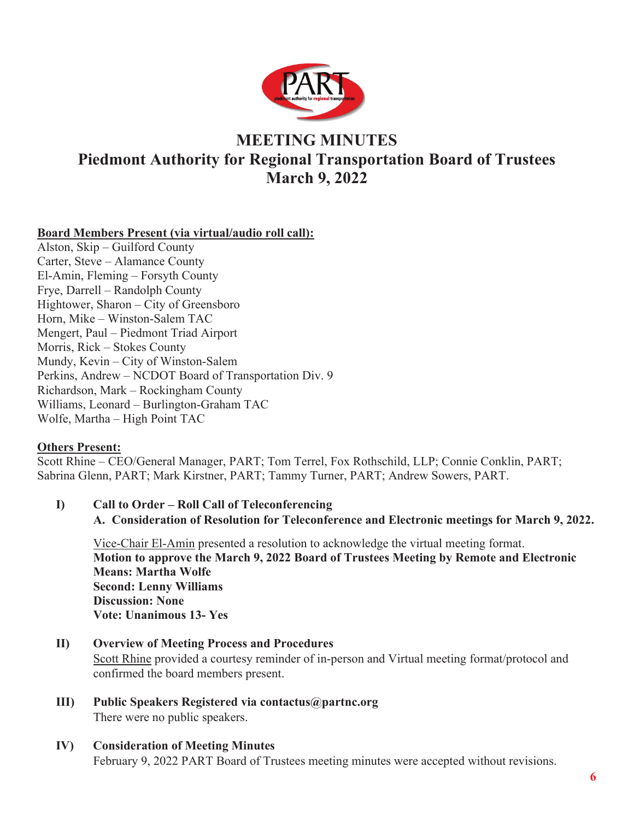

# **MEETING MINUTES**

# **Piedmont Authority for Regional Transportation Board of Trustees March 9, 2022**

# **Board Members Present (via virtual/audio roll call):**

Alston, Skip – Guilford County Carter, Steve – Alamance County El-Amin, Fleming – Forsyth County Frye, Darrell – Randolph County Hightower, Sharon – City of Greensboro Horn, Mike – Winston-Salem TAC Mengert, Paul – Piedmont Triad Airport Morris, Rick – Stokes County Mundy, Kevin – City of Winston-Salem Perkins, Andrew – NCDOT Board of Transportation Div. 9 Richardson, Mark – Rockingham County Williams, Leonard – Burlington-Graham TAC Wolfe, Martha – High Point TAC

# **Others Present:**

Scott Rhine – CEO/General Manager, PART; Tom Terrel, Fox Rothschild, LLP; Connie Conklin, PART; Sabrina Glenn, PART; Mark Kirstner, PART; Tammy Turner, PART; Andrew Sowers, PART.

**I) Call to Order – Roll Call of Teleconferencing A. Consideration of Resolution for Teleconference and Electronic meetings for March 9, 2022.**

Vice-Chair El-Amin presented a resolution to acknowledge the virtual meeting format. **Motion to approve the March 9, 2022 Board of Trustees Meeting by Remote and Electronic Means: Martha Wolfe Second: Lenny Williams Discussion: None Vote: Unanimous 13- Yes**

- **II) Overview of Meeting Process and Procedures** Scott Rhine provided a courtesy reminder of in-person and Virtual meeting format/protocol and confirmed the board members present.
- **III) Public Speakers Registered via contactus@partnc.org** There were no public speakers.
- **IV) Consideration of Meeting Minutes** February 9, 2022 PART Board of Trustees meeting minutes were accepted without revisions.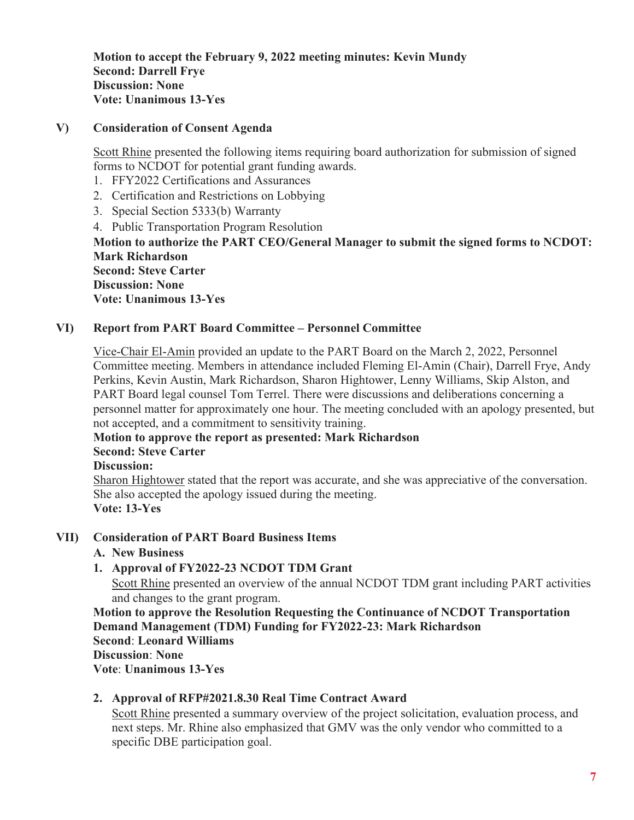**Motion to accept the February 9, 2022 meeting minutes: Kevin Mundy Second: Darrell Frye Discussion: None Vote: Unanimous 13-Yes** 

## **V) Consideration of Consent Agenda**

Scott Rhine presented the following items requiring board authorization for submission of signed forms to NCDOT for potential grant funding awards.

- 1. FFY2022 Certifications and Assurances
- 2. Certification and Restrictions on Lobbying
- 3. Special Section 5333(b) Warranty
- 4. Public Transportation Program Resolution

**Motion to authorize the PART CEO/General Manager to submit the signed forms to NCDOT: Mark Richardson Second: Steve Carter Discussion: None** 

**Vote: Unanimous 13-Yes** 

## **VI) Report from PART Board Committee – Personnel Committee**

Vice-Chair El-Amin provided an update to the PART Board on the March 2, 2022, Personnel Committee meeting. Members in attendance included Fleming El-Amin (Chair), Darrell Frye, Andy Perkins, Kevin Austin, Mark Richardson, Sharon Hightower, Lenny Williams, Skip Alston, and PART Board legal counsel Tom Terrel. There were discussions and deliberations concerning a personnel matter for approximately one hour. The meeting concluded with an apology presented, but not accepted, and a commitment to sensitivity training.

#### **Motion to approve the report as presented: Mark Richardson**

## **Second: Steve Carter**

#### **Discussion:**

Sharon Hightower stated that the report was accurate, and she was appreciative of the conversation. She also accepted the apology issued during the meeting. **Vote: 13-Yes** 

# **VII) Consideration of PART Board Business Items**

#### **A. New Business**

# **1. Approval of FY2022-23 NCDOT TDM Grant**

Scott Rhine presented an overview of the annual NCDOT TDM grant including PART activities and changes to the grant program.

**Motion to approve the Resolution Requesting the Continuance of NCDOT Transportation Demand Management (TDM) Funding for FY2022-23: Mark Richardson Second**: **Leonard Williams** 

### **Discussion**: **None**

**Vote**: **Unanimous 13-Yes** 

# **2. Approval of RFP#2021.8.30 Real Time Contract Award**

Scott Rhine presented a summary overview of the project solicitation, evaluation process, and next steps. Mr. Rhine also emphasized that GMV was the only vendor who committed to a specific DBE participation goal.